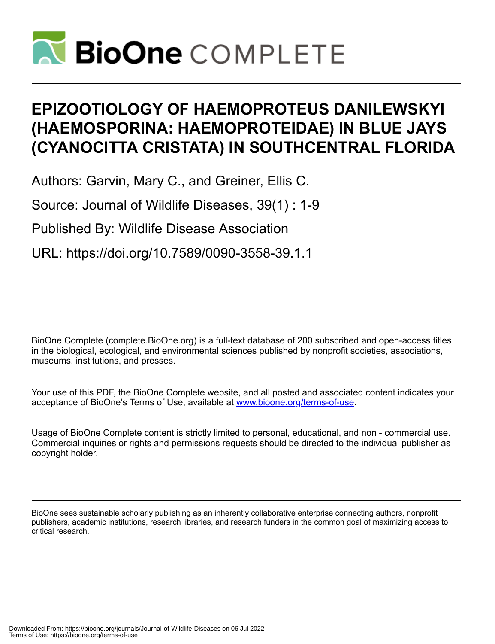

# **EPIZOOTIOLOGY OF HAEMOPROTEUS DANILEWSKYI (HAEMOSPORINA: HAEMOPROTEIDAE) IN BLUE JAYS (CYANOCITTA CRISTATA) IN SOUTHCENTRAL FLORIDA**

Authors: Garvin, Mary C., and Greiner, Ellis C.

Source: Journal of Wildlife Diseases, 39(1) : 1-9

Published By: Wildlife Disease Association

URL: https://doi.org/10.7589/0090-3558-39.1.1

BioOne Complete (complete.BioOne.org) is a full-text database of 200 subscribed and open-access titles in the biological, ecological, and environmental sciences published by nonprofit societies, associations, museums, institutions, and presses.

Your use of this PDF, the BioOne Complete website, and all posted and associated content indicates your acceptance of BioOne's Terms of Use, available at www.bioone.org/terms-of-use.

Usage of BioOne Complete content is strictly limited to personal, educational, and non - commercial use. Commercial inquiries or rights and permissions requests should be directed to the individual publisher as copyright holder.

BioOne sees sustainable scholarly publishing as an inherently collaborative enterprise connecting authors, nonprofit publishers, academic institutions, research libraries, and research funders in the common goal of maximizing access to critical research.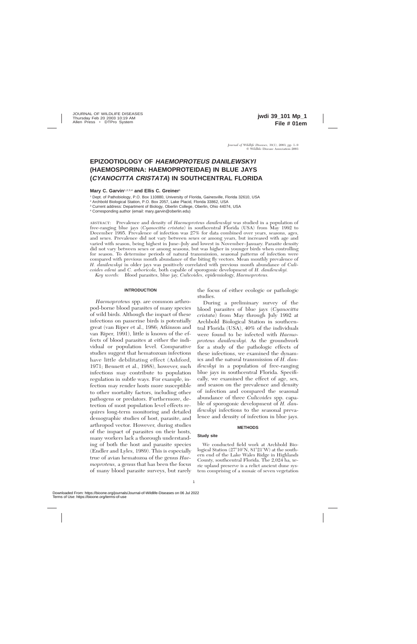# **EPIZOOTIOLOGY OF HAEMOPROTEUS DANILEWSKYI (HAEMOSPORINA: HAEMOPROTEIDAE) IN BLUE JAYS (CYANOCITTA CRISTATA) IN SOUTHCENTRAL FLORIDA**

# **Mary C. Garvin**1,2,3,4 **and Ellis C. Greiner**<sup>1</sup>

<sup>1</sup> Dept. of Pathobiology, P.O. Box 110880, University of Florida, Gainesville, Florida 32610, USA

<sup>2</sup> Archbold Biological Station, P.O. Box 2057, Lake Placid, Florida 33862, USA

<sup>3</sup> Current address: Department of Biology, Oberlin College, Oberlin, Ohio 44074, USA

<sup>4</sup> Corresponding author (email: mary.garvin@oberlin.edu)

ABSTRACT: Prevalence and density of *Haemoproteus danilewskyi* was studied in a population of free-ranging blue jays (*Cyanocitta cristata*) in southcentral Florida (USA) from May 1992 to December 1995. Prevalence of infection was 27% for data combined over years, seasons, ages, and sexes. Prevalence did not vary between sexes or among years, but increased with age and varied with season, being highest in June–July and lowest in November–January. Parasite density did not vary between sexes or among seasons, but was higher in younger birds when controlling for season. To determine periods of natural transmission, seasonal patterns of infection were compared with previous month abundance of the biting fly vectors. Mean monthly prevalence of *H. danilewskyi* in older jays was positively correlated with previous month abundance of *Culicoides edeni* and *C. arboricola,* both capable of sporogonic development of *H. danilewskyi.*

*Key words:* Blood parasites, blue jay, *Culicoides,* epidemiology, *Haemoproteus.*

### **INTRODUCTION**

*Haemoproteus* spp. are common arthropod-borne blood parasites of many species of wild birds. Although the impact of these infections on passerine birds is potentially great (van Riper et al., 1986; Atkinson and van Riper, 1991), little is known of the effects of blood parasites at either the individual or population level. Comparative studies suggest that hematozoan infections have little debilitating effect (Ashford, 1971; Bennett et al., 1988), however, such infections may contribute to population regulation in subtle ways. For example, infection may render hosts more susceptible to other mortality factors, including other pathogens or predators. Furthermore, detection of most population level effects requires long-term monitoring and detailed demographic studies of host, parasite, and arthropod vector. However, during studies of the impact of parasites on their hosts, many workers lack a thorough understanding of both the host and parasite species (Endler and Lyles, 1989). This is especially true of avian hematozoa of the genus *Haemoproteus,* a genus that has been the focus of many blood parasite surveys, but rarely the focus of either ecologic or pathologic studies.

During a preliminary survey of the blood parasites of blue jays (*Cyanocitta cristata*) from May through July 1992 at Archbold Biological Station in southcentral Florida (USA), 40% of the individuals were found to be infected with *Haemoproteus danilewskyi.* As the groundwork for a study of the pathologic effects of these infections, we examined the dynamics and the natural transmission of *H. danilewskyi* in a population of free-ranging blue jays in southcentral Florida. Specifically, we examined the effect of age, sex, and season on the prevalence and density of infection and compared the seasonal abundance of three *Culicoides* spp. capable of sporogonic development of *H. danilewskyi* infections to the seasonal prevalence and density of infection in blue jays.

#### **METHODS**

# **Study site**

We conducted field work at Archbold Biological Station  $(27^{\circ}10^{\prime}N, 81^{\circ}21^{\prime}W)$  at the southern end of the Lake Wales Ridge in Highlands County, southcentral Florida. The 2,024 ha, xeric upland preserve is a relict ancient dune system comprising of a mosaic of seven vegetation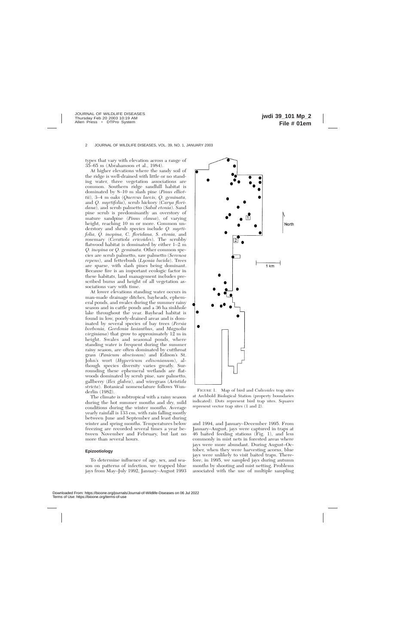types that vary with elevation across a range of 35–65 m (Abrahamson et al., 1984).

At higher elevations where the sandy soil of the ridge is well-drained with little or no standing water, three vegetation associations are common. Southern ridge sandhill habitat is dominated by 8–10 m slash pine (*Pinus elliottii*), 3–4 m oaks (*Quercus laevis, Q. geminata,* and *Q. myrtifolia*), scrub hickory (*Carya floridana*), and scrub palmetto (*Sabal etonia*). Sand pine scrub is predominantly an overstory of mature sandpine (*Pinus clausa*), of varying height, reaching 10 m or more. Common understory and shrub species include *Q. myrtifolia, Q. inopina, C. floridana, S. etonia,* and rosemary (*Ceratiola ericoides*). The scrubby flatwood habitat is dominated by either 1–2 m *Q. inopina* or *Q. geminata.* Other common species are scrub palmetto, saw palmetto (*Serenoa repens*), and fetterbush (*Lyonia lucida*). Trees are sparse, with slash pines being dominant. Because fire is an important ecologic factor in these habitats, land management includes prescribed burns and height of all vegetation associations vary with time.

At lower elevations standing water occurs in man-made drainage ditches, bayheads, ephemeral ponds, and swales during the summer rainy season and in cattle ponds and a 36 ha sinkhole lake throughout the year. Bayhead habitat is found in low, poorly-drained areas and is dominated by several species of bay trees (*Persia borbonia, Gordonia lasianthus,* and *Magnolia virginiana*) that grow to approximately 12 m in height. Swales and seasonal ponds, where standing water is frequent during the summer rainy season, are often dominated by cutthroat grass (*Panicum abscissum*) and Edison's St. John's wort (*Hypericum edisonianum*), although species diversity varies greatly. Surrounding these ephemeral wetlands are flatwoods dominated by scrub pine, saw palmetto, gallberry (*Ilex glabra*), and wiregrass (*Aristida stricta*). Botanical nomenclature follows Wunderlin (1982).

The climate is subtropical with a rainy season during the hot summer months and dry, mild conditions during the winter months. Average yearly rainfall is 133 cm, with rain falling mostly between June and September and least during winter and spring months. Temperatures below freezing are recorded several times a year between November and February, but last no more than several hours.

#### **Epizootiology**

To determine influence of age, sex, and season on patterns of infection, we trapped blue jays from May–July 1992, January–August 1993



FIGURE 1. Map of bird and *Culicoides* trap sites at Archbold Biological Station (property boundaries indicated). Dots represent bird trap sites. Squares represent vector trap sites (1 and 2).

and 1994, and January–December 1995. From January–August, jays were captured in traps at 46 baited feeding stations (Fig. 1), and less commonly in mist nets in forested areas where jays were more abundant. During August–October, when they were harvesting acorns, blue jays were unlikely to visit baited traps. Therefore, in 1995, we sampled jays during autumn months by shooting and mist netting. Problems associated with the use of multiple sampling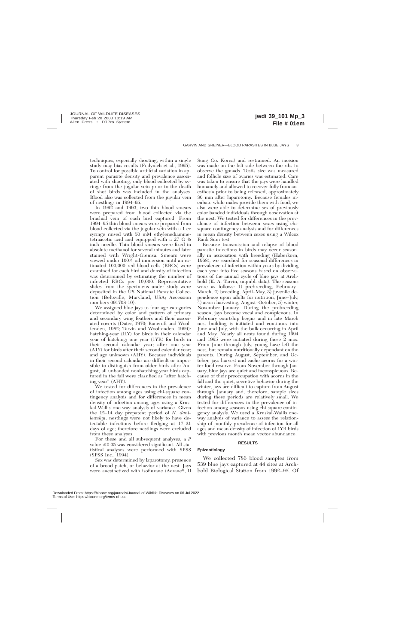techniques, especially shooting, within a single study may bias results (Fedynich et al., 1995). To control for possible artificial variation in apparent parasite density and prevalence associated with shooting, only blood collected by syringe from the jugular vein prior to the death of shot birds was included in the analyses. Blood also was collected from the jugular vein of nestlings in 1994–95.

In 1992 and 1993, two thin blood smears were prepared from blood collected via the brachial vein of each bird captured. From 1994–95 thin blood smears were prepared from blood collected via the jugular vein with a 1 cc syringe rinsed with 50 mM ethylenediaminetetraacetic acid and equipped with a 27 G ½ inch needle. Thin blood smears were fixed in absolute methanol for several minutes and later stained with Wright-Giemsa. Smears were viewed under  $100\times$  oil immersion until an estimated 100,000 red blood cells (RBCs) were examined for each bird and density of infection was determined by estimating the number of infected RBCs per 10,000. Representative slides from the specimens under study were deposited in the US National Parasite Collection (Beltsville, Maryland, USA; Accession numbers 091708-10).

We assigned blue jays to four age categories determined by color and pattern of primary and secondary wing feathers and their associated coverts (Dater, 1970; Bancroft and Woolfenden, 1982; Tarvin and Woolfenden, 1999): hatching-year (HY) for birds in their calendar year of hatching; one year (1YR) for birds in their second calendar year; after one year (A1Y) for birds after their second calendar year; and age unknown (AHY). Because individuals in their second calendar are difficult or impossible to distinguish from older birds after August, all unbanded nonhatching-year birds captured in the fall were classified as ''after hatching-year'' (AHY).

We tested for differences in the prevalence of infection among ages using chi-square contingency analysis and for differences in mean density of infection among ages using a Kruskal-Wallis one-way analysis of variance. Given the 12–14 day prepatent period of *H. danilewskyi,* nestlings were not likely to have detectable infections before fledging at 17–21 days of age; therefore nestlings were excluded from these analyses.

For these and all subsequent analyses, a *P* value  $\leq 0.05$  was considered significant. All statistical analyses were performed with SPSS (SPSS Inc., 1994).

Sex was determined by laparotomy, presence of a brood patch, or behavior at the nest. Jays were anesthetized with isoflurane (Aerane®, Il

Sung Co. Korea) and restrained. An incision was made on the left side between the ribs to observe the gonads. Testis size was measured and follicle size of ovaries was estimated. Care was taken to ensure that the jays were handled humanely and allowed to recover fully from anesthesia prior to being released, approximately 30 min after laparotomy. Because females incubate while males provide them with food, we also were able to determine sex of previously color banded individuals through observation at the nest. We tested for differences in the prevalence of infection between sexes using chisquare contingency analysis and for differences in mean density between sexes using a Wilcox Rank Sum test.

Because transmission and relapse of blood parasite infections in birds may occur seasonally in association with breeding (Haberkorn, 1968), we searched for seasonal differences in prevalence of infection within years by dividing each year into five seasons based on observations of the annual cycle of blue jays at Archbold (K. A. Tarvin, unpubl. data). The seasons were as follows: 1) prebreeding, February– March, 2) breeding, April–May, 3) juvenile dependence upon adults for nutrition, June–July, 4) acorn harvesting, August–October, 5) winter, November–January. During the prebreeding season, jays become vocal and conspicuous. In February courtship begins and in late March nest building is initiated and continues into June and July, with the bulk occurring in April and May. Nearly all nests found during 1994 and 1995 were initiated during these 2 mos. From June through July, young have left the nest, but remain nutritionally dependant on the parents. During August, September, and October, jays harvest and cache acorns for a winter food reserve. From November through January, blue jays are quiet and inconspicuous. Because of their preoccupation with acorns in the fall and the quiet, secretive behavior during the winter, jays are difficult to capture from August through January and, therefore, sample sizes during these periods are relatively small. We tested for differences in the prevalence of infection among seasons using chi-square contingency analysis. We used a Kruskal-Wallis oneway analysis of variance to assess the relationship of monthly prevalence of infection for all ages and mean density of infection of 1YR birds with previous month mean vector abundance.

#### **RESULTS**

#### **Epizootiology**

We collected 786 blood samples from 539 blue jays captured at 44 sites at Archbold Biological Station from 1992–95. Of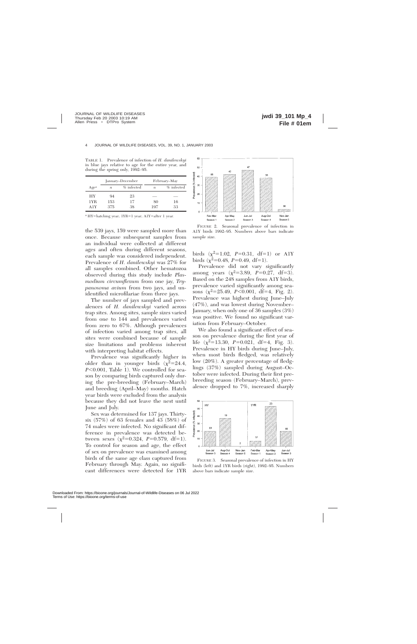TABLE 1. Prevalence of infection of *H. danilewskyi* in blue jays relative to age for the entire year, and during the spring only, 1992–95.

|       | January-December |              | February–May     |              |
|-------|------------------|--------------|------------------|--------------|
| Agea  | $\boldsymbol{n}$ | $%$ infected | $\boldsymbol{n}$ | $%$ infected |
| НY    | 94               | 23           |                  |              |
| 1YR   | 153              | 17           | 80               | 16           |
| A 1 Y | 375              | 38           | 197              | 33           |

<sup>a</sup> HY=hatching year; 1YR=1 year; A1Y=after 1 year.

the 539 jays, 159 were sampled more than once. Because subsequent samples from an individual were collected at different ages and often during different seasons, each sample was considered independent. Prevalence of *H. danilewskyi* was 27% for all samples combined. Other hematozoa observed during this study include *Plasmodium circumflexum* from one jay, *Trypanosoma avium* from two jays, and unidentified microfilariae from three jays.

The number of jays sampled and prevalences of *H. danilewskyi* varied across trap sites. Among sites, sample sizes varied from one to 144 and prevalences varied from zero to 67%. Although prevalences of infection varied among trap sites, all sites were combined because of sample size limitations and problems inherent with interpreting habitat effects.

Prevalence was significantly higher in older than in younger birds  $(\chi^2=24.4,$ *P*<0.001, Table 1). We controlled for season by comparing birds captured only during the pre-breeding (February–March) and breeding (April–May) months. Hatch year birds were excluded from the analysis because they did not leave the nest until June and July.

Sex was determined for 137 jays. Thirtysix (57%) of 63 females and 43 (58%) of 74 males were infected. No significant difference in prevalence was detected between sexes  $(\chi^2=0.324, P=0.579, df=1)$ . To control for season and age, the effect of sex on prevalence was examined among birds of the same age class captured from February through May. Again, no significant differences were detected for 1YR



FIGURE 2. Seasonal prevalence of infection in A1Y birds 1992–95. Numbers above bars indicate sample size.

birds  $(\chi^2=1.02, P=0.31, df=1)$  or A1Y birds  $(\chi^2=0.48, P=0.49, df=1)$ .

Prevalence did not vary significantly among years  $(\chi^2=3.89, P=0.27, df=3)$ . Based on the 248 samples from A1Y birds, prevalence varied significantly among seasons  $(\chi^2=25.49, P<0.001, df=4, Fig. 2)$ . Prevalence was highest during June–July (47%), and was lowest during November– January, when only one of 36 samples (3%) was positive. We found no significant variation from February–October.

We also found a significant effect of season on prevalence during the first year of life  $(\chi^2=13.30, P=0.021, df=4, Fig. 3)$ . Prevalence in HY birds during June–July, when most birds fledged, was relatively low (20%). A greater percentage of fledglings (37%) sampled during August–October were infected. During their first prebreeding season (February–March), prevalence dropped to 7%, increased sharply



FIGURE 3. Seasonal prevalence of infection in HY birds (left) and 1YR birds (right), 1992–95. Numbers above bars indicate sample size.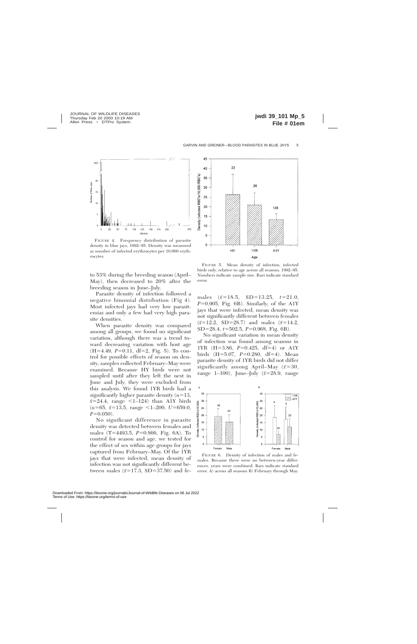

FIGURE 4. Frequency distribution of parasite density in blue jays, 1992–95. Density was measured as number of infected erythrocytes per 10,000 erythrocytes.

to 53% during the breeding season (April– May), then decreased to 20% after the breeding season in June–July.

Parasite density of infection followed a negative binomial distribution (Fig 4). Most infected jays had very low parasitemias and only a few had very high parasite densities.

When parasite density was compared among all groups, we found no significant variation, although there was a trend toward decreasing variation with host age  $(H=4.49, P=0.11, df=2, Fig. 5)$ . To control for possible effects of season on density, samples collected February–May were examined. Because HY birds were not sampled until after they left the nest in June and July, they were excluded from this analysis. We found 1YR birds had a significantly higher parasite density  $(n=13,$  $\bar{x}$ =24.4, range <1–124) than A1Y birds  $(n=65, \bar{x}=13.5, \text{ range } \leq 1-200, \text{ } U=659.0,$  $P=0.050$ ).

No significant difference in parasite density was detected between females and males (T=4493.5, *P*=0.866, Fig. 6A). To control for season and age, we tested for the effect of sex within age groups for jays captured from February–May. Of the 1YR jays that were infected, mean density of infection was not significantly different between males  $(\bar{x}=17.3, SD=37.50)$  and fe-



FIGURE 5. Mean density of infection, infected birds only, relative to age across all seasons, 1992–95. Numbers indicate sample size. Bars indicate standard error.

males  $(\bar{x}=18.5, SD=13.25, t=21.0,$  $P=0.905$ , Fig. 6B). Similarly, of the A1Y jays that were infected, mean density was not significantly different between females  $(\bar{x}=12.2, SD=28.7)$  and males  $(\bar{x}=14.2,$ SD=28.4, *t*=502.5, *P*=0.968, Fig. 6B).

No significant variation in mean density of infection was found among seasons in 1YR  $(H=3.86, P=0.425, df=4)$  or A1Y birds (H=5.07, *P*=0.280, df=4). Mean parasite density of 1YR birds did not differ significantly among April–May  $(\bar{x}=30,$ range 1–100), June–July  $(\bar{x}=28.9, \text{ range})$ 



FIGURE 6. Density of infection of males and females. Because there were no between-year differences, years were combined. Bars indicate standard error. A) across all seasons B) February through May.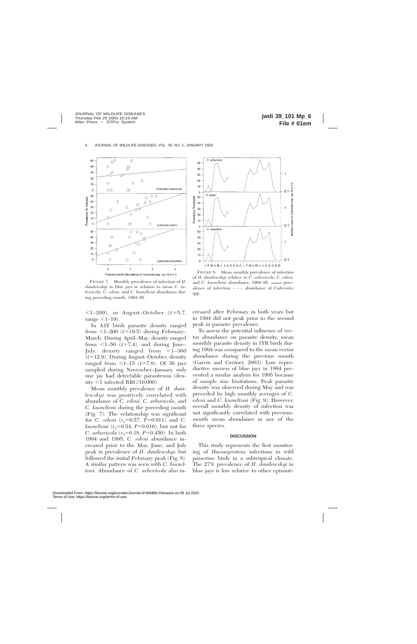

FIGURE 7. Monthly prevalence of infection of *H. danilewskyi* in blue jays in relation to mean *C. arboricola, C. edeni,* and *C. knowltoni* abundance during preceding month, 1994–95.

 $\langle1–200\rangle$ , or August–October ( $\bar{x}=5.7$ , range  $\leq 1-19$ ).

In A1Y birds parasite density ranged from  $\langle$ 1–200 ( $\bar{x}$ =19.5) during February– March. During April–May, density ranged from  $\lt 1-50$  ( $\bar{x}$ =7.4), and during June– July, density ranged from  $\leq$ 1–360 (*x¯*512.9). During August–October, density ranged from  $\leq$ 1–15 ( $\bar{x}$ =7.8). Of 36 jays sampled during November–January, only one jay had detectable parasitemia (den $sity <1$  infected RBC/10,000).

Mean monthly prevalence of *H. danilewskyi* was positively correlated with abundance of *C. edeni, C. arboricola,* and *C. knowltoni* during the preceding month (Fig. 7). The relationship was significant for *C. edeni*  $(r_s=0.57, P=0.011)$  and *C.*  $k$ *nowltoni* ( $r_s$ =0.54, *P*=0.016), but not for *C. arboricola*  $(r_s=0.18, P=0.450)$ . In both 1994 and 1995, *C. edeni* abundance increased prior to the May, June, and July peak in prevalence of *H. danilewskyi,* but followed the initial February peak (Fig. 8). A similar pattern was seen with *C. knowltoni.* Abundance of *C. arboricola* also in-



FIGURE 8. Mean monthly prevalence of infection of *H. danilewskyi* relative to *C. arboricola, C. edeni,* and *C. knowltoni* abundance, 1994–95. **-----** prevalence of infection; – – – abundance of *Culicoides* spp.

creased after February in both years but in 1994 did not peak prior to the second peak in parasite prevalence.

To assess the potential influence of vector abundance on parasite density, mean monthly parasite density in 1YR birds during 1994 was compared to the mean vector abundance during the previous month (Garvin and Greiner, 2003). Low reproductive success of blue jays in 1994 prevented a similar analysis for 1995 because of sample size limitations. Peak parasite density was observed during May and was preceded by high monthly averages of *C. edeni* and *C. knowltoni* (Fig. 9). However, overall monthly density of infection was not significantly correlated with previousmonth mean abundance in any of the three species.

#### **DISCUSSION**

This study represents the first monitoring of *Haemoproteus* infections in wild passerine birds in a subtropical climate. The 27% prevalence of *H. danilewskyi* in blue jays is low relative to other epizooti-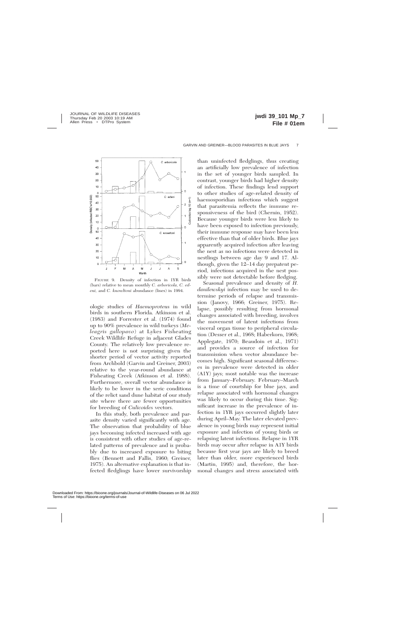

FIGURE 9. Density of infection in 1YR birds (bars) relative to mean monthly *C. arboricola, C. edeni,* and *C. knowltoni* abundance (lines) in 1994.

ologic studies of *Haemoproteus* in wild birds in southern Florida. Atkinson et al. (1983) and Forrester et al. (1974) found up to 90% prevalence in wild turkeys (*Meleagris gallopavo*) at Lykes Fisheating Creek Wildlife Refuge in adjacent Glades County. The relatively low prevalence reported here is not surprising given the shorter period of vector activity reported from Archbold (Garvin and Greiner, 2003) relative to the year-round abundance at Fisheating Creek (Atkinson et al. 1988). Furthermore, overall vector abundance is likely to be lower in the xeric conditions of the relict sand dune habitat of our study site where there are fewer opportunities for breeding of *Culicoides* vectors.

In this study, both prevalence and parasite density varied significantly with age. The observation that probability of blue jays becoming infected increased with age is consistent with other studies of age-related patterns of prevalence and is probably due to increased exposure to biting flies (Bennett and Fallis, 1960; Greiner, 1975). An alternative explanation is that infected fledglings have lower survivorship

than uninfected fledglings, thus creating an artificially low prevalence of infection in the set of younger birds sampled. In contrast, younger birds had higher density of infection. These findings lend support to other studies of age-related density of haemosporidian infections which suggest that parasitemia reflects the immune responsiveness of the bird (Chernin, 1952). Because younger birds were less likely to have been exposed to infection previously, their immune response may have been less effective than that of older birds. Blue jays apparently acquired infection after leaving the nest as no infections were detected in nestlings between age day 9 and 17. Although, given the 12–14 day prepatent period, infections acquired in the nest possibly were not detectable before fledging.

Seasonal prevalence and density of *H. danilewskyi* infection may be used to determine periods of relapse and transmission (Janovy, 1966; Greiner, 1975). Relapse, possibly resulting from hormonal changes associated with breeding, involves the movement of latent infections from visceral organ tissue to peripheral circulation (Desser et al., 1968; Haberkorn, 1968; Applegate, 1970; Beaudoin et al., 1971) and provides a source of infection for transmission when vector abundance becomes high. Significant seasonal differences in prevalence were detected in older (A1Y) jays; most notable was the increase from January–February. February–March is a time of courtship for blue jays, and relapse associated with hormonal changes was likely to occur during this time. Significant increase in the prevalence of infection in 1YR jays occurred slightly later during April–May. The later elevated prevalence in young birds may represent initial exposure and infection of young birds or relapsing latent infections. Relapse in 1YR birds may occur after relapse in A1Y birds because first year jays are likely to breed later than older, more experienced birds (Martin, 1995) and, therefore, the hormonal changes and stress associated with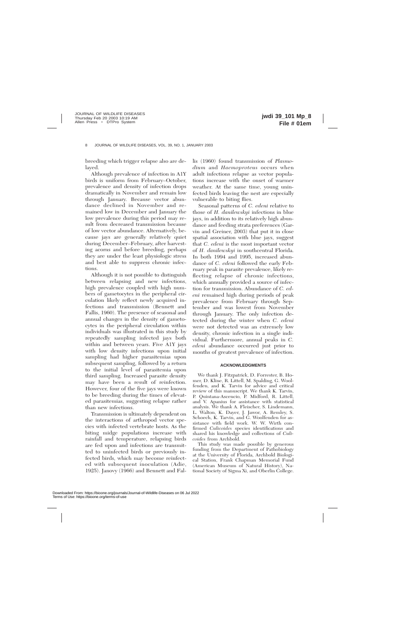breeding which trigger relapse also are delayed.

Although prevalence of infection in A1Y birds is uniform from February–October, prevalence and density of infection drops dramatically in November and remain low through January. Because vector abundance declined in November and remained low in December and January the low prevalence during this period may result from decreased transmission because of low vector abundance. Alternatively, because jays are generally relatively quiet during December–February, after harvesting acorns and before breeding, perhaps they are under the least physiologic stress and best able to suppress chronic infections.

Although it is not possible to distinguish between relapsing and new infections, high prevalence coupled with high numbers of gametocytes in the peripheral circulation likely reflect newly acquired infections and transmission (Bennett and Fallis, 1960). The presence of seasonal and annual changes in the density of gametocytes in the peripheral circulation within individuals was illustrated in this study by repeatedly sampling infected jays both within and between years. Five A1Y jays with low density infections upon initial sampling had higher parasitemias upon subsequent sampling, followed by a return to the initial level of parasitemia upon third sampling. Increased parasite density may have been a result of reinfection. However, four of the five jays were known to be breeding during the times of elevated parasitemias, suggesting relapse rather than new infections.

Transmission is ultimately dependent on the interactions of arthropod vector species with infected vertebrate hosts. As the biting midge populations increase with rainfall and temperature, relapsing birds are fed upon and infections are transmitted to uninfected birds or previously infected birds, which may become reinfected with subsequent inoculation (Adie, 1925). Janovy (1966) and Bennett and Fallis (1960) found transmission of *Plasmodium* and *Haemoproteus* occurs when adult infections relapse as vector populations increase with the onset of warmer weather. At the same time, young uninfected birds leaving the nest are especially vulnerable to biting flies.

Seasonal patterns of *C. edeni* relative to those of *H. danilewskyi* infections in blue jays, in addition to its relatively high abundance and feeding strata preferences (Garvin and Greiner, 2003) that put it in close spatial association with blue jays, suggest that *C. edeni* is the most important vector of *H. danilewskyi* in southcentral Florida. In both 1994 and 1995, increased abundance of *C. edeni* followed the early February peak in parasite prevalence, likely reflecting relapse of chronic infections, which annually provided a source of infection for transmission. Abundance of *C. edeni* remained high during periods of peak prevalence from February through September and was lowest from November through January. The only infection detected during the winter when *C. edeni* were not detected was an extremely low density, chronic infection in a single individual. Furthermore, annual peaks in *C. edeni* abundance occurred just prior to months of greatest prevalence of infection.

# **ACKNOWLEDGMENTS**

We thank J. Fitzpatrick, D. Forrester, B. Homer, D. Kline, R. Littell, M. Spalding, G. Woolfenden, and K. Tarvin for advice and critical review of this manuscript. We thank K. Tarvin, P. Quintana-Ascencio, P. Midford, R. Littell, and V. Apanius for assistance with statistical analysis. We thank A. Fleischer, S. Lindemann, L. Walton, K. Dayer, J. Jawor, A. Remley, S. Schoech, K. Tarvin, and G. Woolfenden for assistance with field work. W. W. Wirth confirmed *Culicoides* species identifications and shared his knowledge and collections of *Culicoides* from Archbold.

This study was made possible by generous funding from the Department of Pathobiology at the University of Florida, Archbold Biological Station, Frank Chapman Memorial Fund (American Museum of Natural History), National Society of Sigma Xi, and Oberlin College.